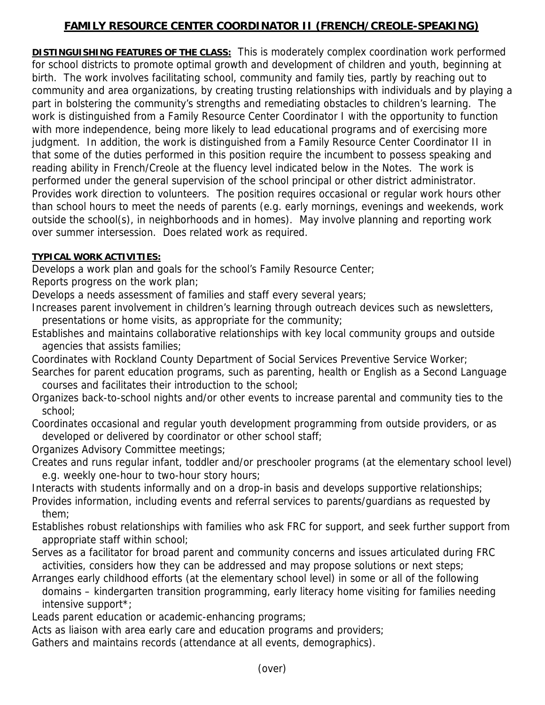## **FAMILY RESOURCE CENTER COORDINATOR II (FRENCH/CREOLE-SPEAKING)**

**DISTINGUISHING FEATURES OF THE CLASS:** This is moderately complex coordination work performed for school districts to promote optimal growth and development of children and youth, beginning at birth. The work involves facilitating school, community and family ties, partly by reaching out to community and area organizations, by creating trusting relationships with individuals and by playing a part in bolstering the community's strengths and remediating obstacles to children's learning. The work is distinguished from a Family Resource Center Coordinator I with the opportunity to function with more independence, being more likely to lead educational programs and of exercising more judgment. In addition, the work is distinguished from a Family Resource Center Coordinator II in that some of the duties performed in this position require the incumbent to possess speaking and reading ability in French/Creole at the fluency level indicated below in the Notes. The work is performed under the general supervision of the school principal or other district administrator. Provides work direction to volunteers. The position requires occasional or regular work hours other than school hours to meet the needs of parents (e.g. early mornings, evenings and weekends, work outside the school(s), in neighborhoods and in homes). May involve planning and reporting work over summer intersession. Does related work as required.

## **TYPICAL WORK ACTIVITIES:**

Develops a work plan and goals for the school's Family Resource Center;

Reports progress on the work plan;

Develops a needs assessment of families and staff every several years;

- Increases parent involvement in children's learning through outreach devices such as newsletters, presentations or home visits, as appropriate for the community;
- Establishes and maintains collaborative relationships with key local community groups and outside agencies that assists families;
- Coordinates with Rockland County Department of Social Services Preventive Service Worker;
- Searches for parent education programs, such as parenting, health or English as a Second Language courses and facilitates their introduction to the school;
- Organizes back-to-school nights and/or other events to increase parental and community ties to the school;
- Coordinates occasional and regular youth development programming from outside providers, or as developed or delivered by coordinator or other school staff;
- Organizes Advisory Committee meetings;
- Creates and runs regular infant, toddler and/or preschooler programs (at the elementary school level) e.g. weekly one-hour to two-hour story hours;
- Interacts with students informally and on a drop-in basis and develops supportive relationships;
- Provides information, including events and referral services to parents/guardians as requested by them;
- Establishes robust relationships with families who ask FRC for support, and seek further support from appropriate staff within school;
- Serves as a facilitator for broad parent and community concerns and issues articulated during FRC activities, considers how they can be addressed and may propose solutions or next steps;
- Arranges early childhood efforts (at the elementary school level) in some or all of the following domains – kindergarten transition programming, early literacy home visiting for families needing intensive support\*;

Leads parent education or academic-enhancing programs;

Acts as liaison with area early care and education programs and providers;

Gathers and maintains records (attendance at all events, demographics).